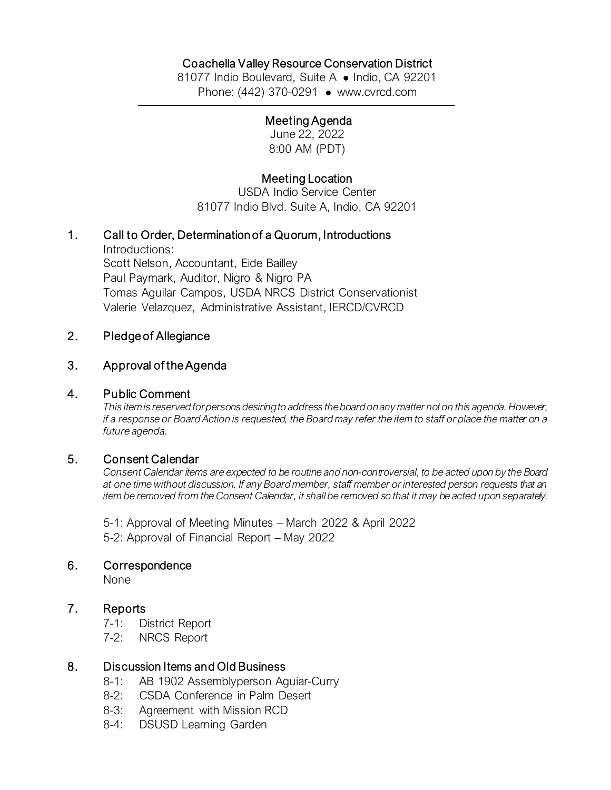# Coachella Valley Resource Conservation District

81077 Indio Boulevard, Suite A · Indio, CA 92201 Phone: (442) 370-0291 • [www.cvrcd.com](http://www.cvrcd.com/)

#### Meeting Agenda

June 22, 2022 8:00 AM (PDT)

## Meeting Location

USDA Indio Service Center 81077 Indio Blvd. Suite A, Indio, CA 92201

### 1. Call to Order, Determination of a Quorum, Introductions

Introductions: Scott Nelson, Accountant, Eide Bailley Paul Paymark, Auditor, Nigro & Nigro PA Tomas Aguilar Campos, USDA NRCS District Conservationist Valerie Velazquez, Administrative Assistant, IERCD/CVRCD

### 2. Pledge of Allegiance

#### 3. Approval of the Agenda

#### 4. Public Comment

*This item is reserved for persons desiring to address the board on any matter not on this agenda. However, if a response or Board Action is requested, the Board may refer the item to staff or place the matter on a future agenda.*

### 5. Consent Calendar

*Consent Calendar items are expected to be routine and non-controversial, to be acted upon by the Board at one time without discussion. If any Board member, staff member or interested person requests that an item be removed from the Consent Calendar, it shall be removed so that it may be acted upon separately.*

5-1: Approval of Meeting Minutes – March 2022 & April 2022 5-2: Approval of Financial Report – May 2022

#### 6. Correspondence

None

### 7. Reports

- 7-1: District Report
- 7-2: NRCS Report

### 8. Discussion Items and Old Business

- 8-1: AB 1902 Assemblyperson Aguiar-Curry
- 8-2: CSDA Conference in Palm Desert
- 8-3: Agreement with Mission RCD
- 8-4: DSUSD Learning Garden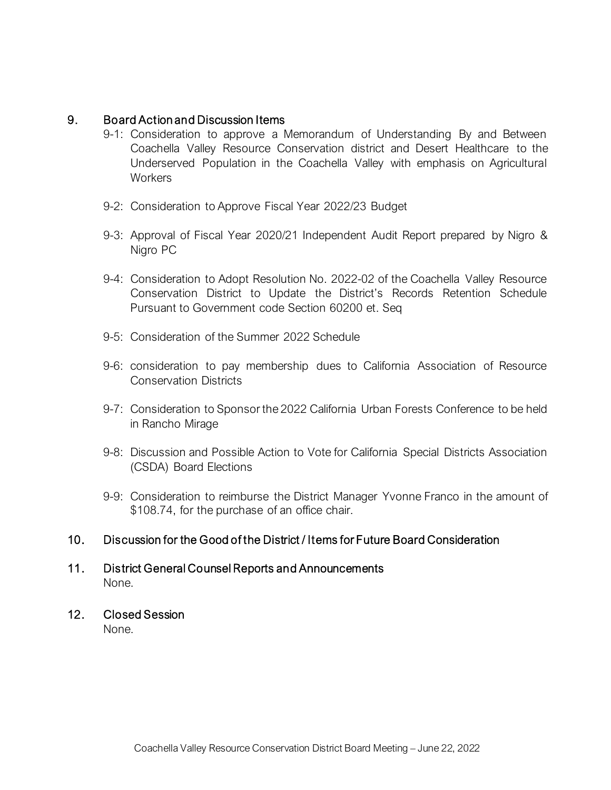### 9. Board Action and Discussion Items

- 9-1: Consideration to approve a Memorandum of Understanding By and Between Coachella Valley Resource Conservation district and Desert Healthcare to the Underserved Population in the Coachella Valley with emphasis on Agricultural **Workers**
- 9-2: Consideration to Approve Fiscal Year 2022/23 Budget
- 9-3: Approval of Fiscal Year 2020/21 Independent Audit Report prepared by Nigro & Nigro PC
- 9-4: Consideration to Adopt Resolution No. 2022-02 of the Coachella Valley Resource Conservation District to Update the District's Records Retention Schedule Pursuant to Government code Section 60200 et. Seq
- 9-5: Consideration of the Summer 2022 Schedule
- 9-6: consideration to pay membership dues to California Association of Resource Conservation Districts
- 9-7: Consideration to Sponsor the 2022 California Urban Forests Conference to be held in Rancho Mirage
- 9-8: Discussion and Possible Action to Vote for California Special Districts Association (CSDA) Board Elections
- 9-9: Consideration to reimburse the District Manager Yvonne Franco in the amount of \$108.74, for the purchase of an office chair.

# 10. Discussion for the Good of the District / Items for Future Board Consideration

## 11. District General Counsel Reports and Announcements None.

# 12. Closed Session

None.